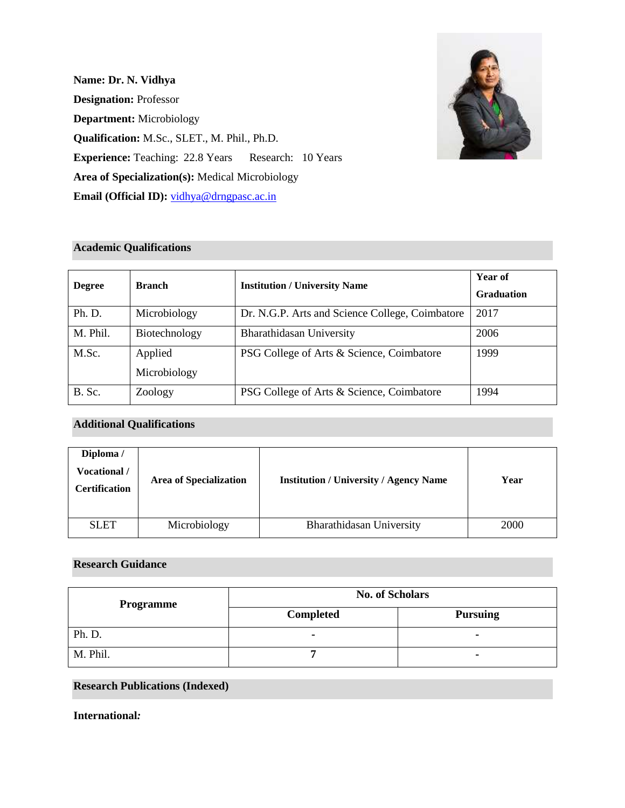**Name: Dr. N. Vidhya Designation:** Professor **Department:** Microbiology **Qualification:** M.Sc., SLET., M. Phil., Ph.D. **Experience:** Teaching: 22.8 Years Research: 10 Years **Area of Specialization(s):** Medical Microbiology **Email (Official ID):** [vidhya@drngpasc.ac.in](mailto:vidhya@drngpasc.ac.in)



### **Academic Qualifications**

| <b>Degree</b> | <b>Branch</b>           | <b>Institution / University Name</b>            | Year of<br><b>Graduation</b> |
|---------------|-------------------------|-------------------------------------------------|------------------------------|
| Ph. D.        | Microbiology            | Dr. N.G.P. Arts and Science College, Coimbatore | 2017                         |
| M. Phil.      | Biotechnology           | Bharathidasan University                        | 2006                         |
| M.Sc.         | Applied<br>Microbiology | PSG College of Arts & Science, Coimbatore       | 1999                         |
| B. Sc.        | Zoology                 | PSG College of Arts & Science, Coimbatore       | 1994                         |

# **Additional Qualifications**

| Diploma /<br><b>Vocational</b> /<br><b>Certification</b> | <b>Area of Specialization</b> | <b>Institution / University / Agency Name</b> | Year |
|----------------------------------------------------------|-------------------------------|-----------------------------------------------|------|
| <b>SLET</b>                                              | Microbiology                  | Bharathidasan University                      | 2000 |

### **Research Guidance**

| <b>Programme</b> | <b>No. of Scholars</b> |                 |  |
|------------------|------------------------|-----------------|--|
|                  | Completed              | <b>Pursuing</b> |  |
| Ph. D.           |                        |                 |  |
| M. Phil.         |                        |                 |  |

# **Research Publications (Indexed)**

**International***:*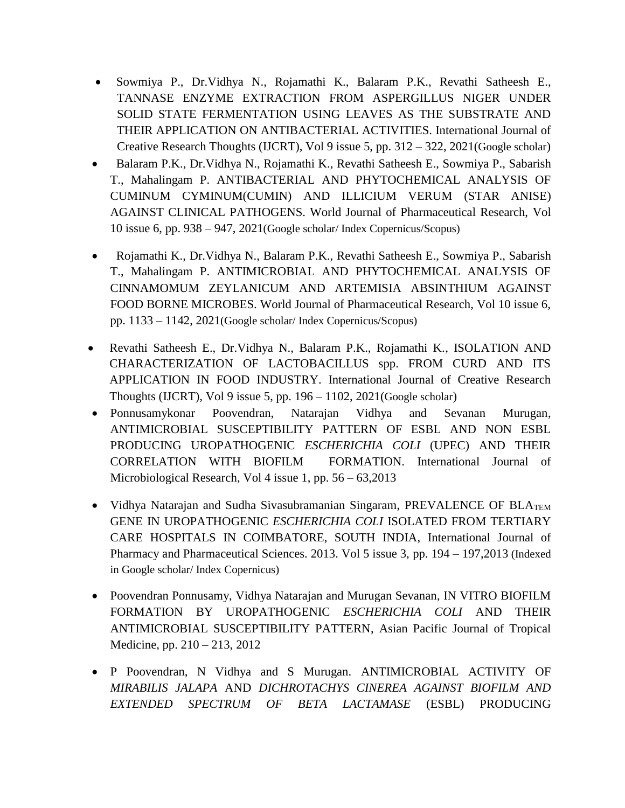- Sowmiya P., Dr.Vidhya N., Rojamathi K., Balaram P.K., Revathi Satheesh E., TANNASE ENZYME EXTRACTION FROM ASPERGILLUS NIGER UNDER SOLID STATE FERMENTATION USING LEAVES AS THE SUBSTRATE AND THEIR APPLICATION ON ANTIBACTERIAL ACTIVITIES. International Journal of Creative Research Thoughts (IJCRT), Vol 9 issue 5, pp. 312 – 322, 2021(Google scholar)
- Balaram P.K., Dr.Vidhya N., Rojamathi K., Revathi Satheesh E., Sowmiya P., Sabarish T., Mahalingam P. ANTIBACTERIAL AND PHYTOCHEMICAL ANALYSIS OF CUMINUM CYMINUM(CUMIN) AND ILLICIUM VERUM (STAR ANISE) AGAINST CLINICAL PATHOGENS. World Journal of Pharmaceutical Research, Vol 10 issue 6, pp. 938 – 947, 2021(Google scholar/ Index Copernicus/Scopus)
- Rojamathi K., Dr.Vidhya N., Balaram P.K., Revathi Satheesh E., Sowmiya P., Sabarish T., Mahalingam P. ANTIMICROBIAL AND PHYTOCHEMICAL ANALYSIS OF CINNAMOMUM ZEYLANICUM AND ARTEMISIA ABSINTHIUM AGAINST FOOD BORNE MICROBES. World Journal of Pharmaceutical Research, Vol 10 issue 6, pp. 1133 – 1142, 2021(Google scholar/ Index Copernicus/Scopus)
- Revathi Satheesh E., Dr.Vidhya N., Balaram P.K., Rojamathi K., ISOLATION AND CHARACTERIZATION OF LACTOBACILLUS spp. FROM CURD AND ITS APPLICATION IN FOOD INDUSTRY. International Journal of Creative Research Thoughts (IJCRT), Vol 9 issue 5, pp.  $196 - 1102$ ,  $2021$ (Google scholar)
- Ponnusamykonar Poovendran, Natarajan Vidhya and Sevanan Murugan, ANTIMICROBIAL SUSCEPTIBILITY PATTERN OF ESBL AND NON ESBL PRODUCING UROPATHOGENIC *ESCHERICHIA COLI* (UPEC) AND THEIR CORRELATION WITH BIOFILM FORMATION. International Journal of Microbiological Research, Vol 4 issue 1, pp. 56 – 63,2013
- Vidhya Natarajan and Sudha Sivasubramanian Singaram, PREVALENCE OF BLATEM GENE IN UROPATHOGENIC *ESCHERICHIA COLI* ISOLATED FROM TERTIARY CARE HOSPITALS IN COIMBATORE, SOUTH INDIA, International Journal of Pharmacy and Pharmaceutical Sciences. 2013. Vol 5 issue 3, pp. 194 – 197,2013 (Indexed in Google scholar/ Index Copernicus)
- Poovendran Ponnusamy, Vidhya Natarajan and Murugan Sevanan, IN VITRO BIOFILM FORMATION BY UROPATHOGENIC *ESCHERICHIA COLI* AND THEIR ANTIMICROBIAL SUSCEPTIBILITY PATTERN, Asian Pacific Journal of Tropical Medicine, pp. 210 – 213, 2012
- P Poovendran, N Vidhya and S Murugan. ANTIMICROBIAL ACTIVITY OF *MIRABILIS JALAPA* AND *DICHROTACHYS CINEREA AGAINST BIOFILM AND EXTENDED SPECTRUM OF BETA LACTAMASE* (ESBL) PRODUCING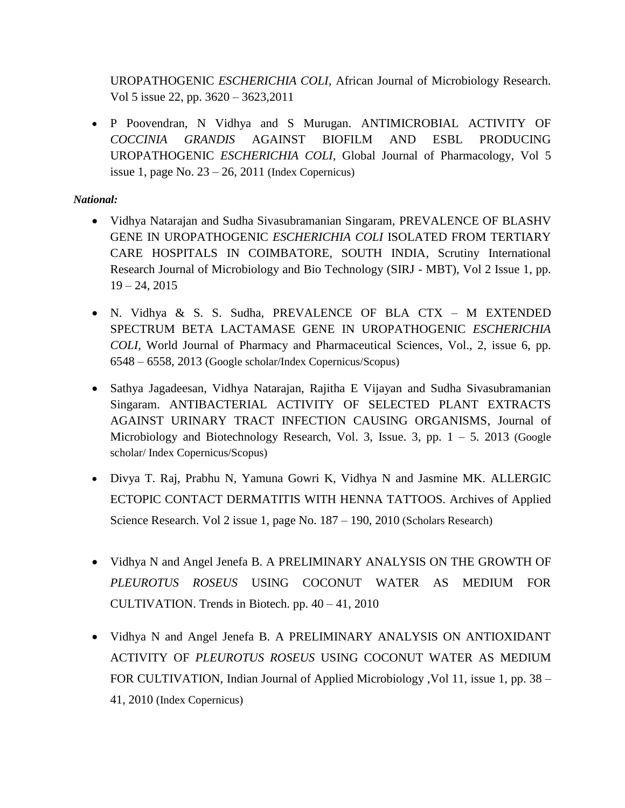UROPATHOGENIC *ESCHERICHIA COLI,* African Journal of Microbiology Research. Vol 5 issue 22, pp. 3620 – 3623,2011

• P Poovendran, N Vidhya and S Murugan. ANTIMICROBIAL ACTIVITY OF *COCCINIA GRANDIS* AGAINST BIOFILM AND ESBL PRODUCING UROPATHOGENIC *ESCHERICHIA COLI,* Global Journal of Pharmacology, Vol 5 issue 1, page No.  $23 - 26$ , 2011 (Index Copernicus)

# *National:*

- Vidhya Natarajan and Sudha Sivasubramanian Singaram, PREVALENCE OF BLASHV GENE IN UROPATHOGENIC *ESCHERICHIA COLI* ISOLATED FROM TERTIARY CARE HOSPITALS IN COIMBATORE, SOUTH INDIA, Scrutiny International Research Journal of Microbiology and Bio Technology (SIRJ - MBT), Vol 2 Issue 1, pp.  $19 - 24, 2015$
- N. Vidhya & S. S. Sudha, PREVALENCE OF BLA CTX M EXTENDED SPECTRUM BETA LACTAMASE GENE IN UROPATHOGENIC *ESCHERICHIA COLI,* World Journal of Pharmacy and Pharmaceutical Sciences, Vol., 2, issue 6, pp. 6548 – 6558, 2013 (Google scholar/Index Copernicus/Scopus)
- Sathya Jagadeesan, Vidhya Natarajan, Rajitha E Vijayan and Sudha Sivasubramanian Singaram. ANTIBACTERIAL ACTIVITY OF SELECTED PLANT EXTRACTS AGAINST URINARY TRACT INFECTION CAUSING ORGANISMS, Journal of Microbiology and Biotechnology Research, Vol. 3, Issue. 3, pp.  $1 - 5$ . 2013 (Google scholar/ Index Copernicus/Scopus)
- Divya T. Raj, Prabhu N, Yamuna Gowri K, Vidhya N and Jasmine MK. ALLERGIC ECTOPIC CONTACT DERMATITIS WITH HENNA TATTOOS. Archives of Applied Science Research. Vol 2 issue 1, page No. 187 – 190, 2010 (Scholars Research)
- Vidhya N and Angel Jenefa B. A PRELIMINARY ANALYSIS ON THE GROWTH OF *PLEUROTUS ROSEUS* USING COCONUT WATER AS MEDIUM FOR CULTIVATION. Trends in Biotech. pp. 40 – 41, 2010
- Vidhya N and Angel Jenefa B. A PRELIMINARY ANALYSIS ON ANTIOXIDANT ACTIVITY OF *PLEUROTUS ROSEUS* USING COCONUT WATER AS MEDIUM FOR CULTIVATION, Indian Journal of Applied Microbiology ,Vol 11, issue 1, pp. 38 – 41, 2010 (Index Copernicus)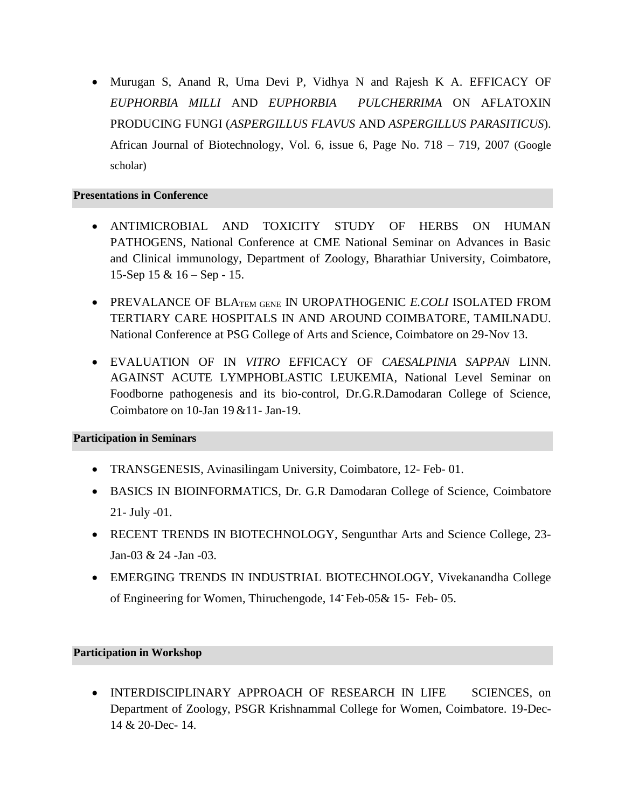• Murugan S, Anand R, Uma Devi P, Vidhya N and Rajesh K A. EFFICACY OF *EUPHORBIA MILLI* AND *EUPHORBIA PULCHERRIMA* ON AFLATOXIN PRODUCING FUNGI (*ASPERGILLUS FLAVUS* AND *ASPERGILLUS PARASITICUS*). African Journal of Biotechnology, Vol. 6, issue 6, Page No. 718 – 719, 2007 (Google scholar)

#### **Presentations in Conference**

- ANTIMICROBIAL AND TOXICITY STUDY OF HERBS ON HUMAN PATHOGENS, National Conference at CME National Seminar on Advances in Basic and Clinical immunology, Department of Zoology, Bharathiar University, Coimbatore, 15-Sep 15 & 16 – Sep - 15.
- PREVALANCE OF BLATEM GENE IN UROPATHOGENIC *E.COLI* ISOLATED FROM TERTIARY CARE HOSPITALS IN AND AROUND COIMBATORE, TAMILNADU. National Conference at PSG College of Arts and Science, Coimbatore on 29-Nov 13.
- EVALUATION OF IN *VITRO* EFFICACY OF *CAESALPINIA SAPPAN* LINN. AGAINST ACUTE LYMPHOBLASTIC LEUKEMIA, National Level Seminar on Foodborne pathogenesis and its bio-control, Dr.G.R.Damodaran College of Science, Coimbatore on 10-Jan 19 &11- Jan-19.

### **Participation in Seminars**

- TRANSGENESIS, Avinasilingam University, Coimbatore, 12- Feb- 01.
- BASICS IN BIOINFORMATICS, Dr. G.R Damodaran College of Science, Coimbatore 21- July -01.
- RECENT TRENDS IN BIOTECHNOLOGY, Sengunthar Arts and Science College, 23-Jan-03 & 24 -Jan -03.
- EMERGING TRENDS IN INDUSTRIAL BIOTECHNOLOGY, Vivekanandha College of Engineering for Women, Thiruchengode, 14- Feb-05& 15- Feb- 05.

#### **Participation in Workshop**

• INTERDISCIPLINARY APPROACH OF RESEARCH IN LIFE SCIENCES, on Department of Zoology, PSGR Krishnammal College for Women, Coimbatore. 19-Dec-14 & 20-Dec- 14.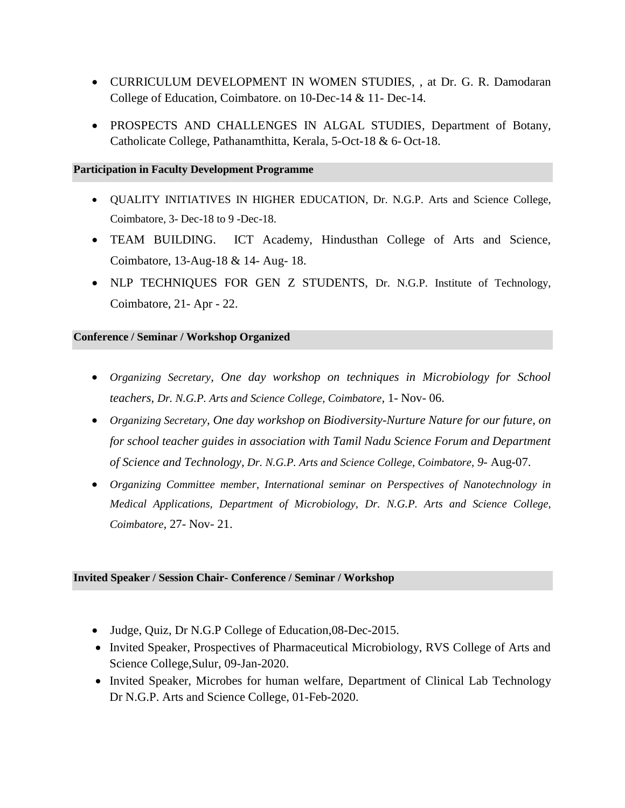- CURRICULUM DEVELOPMENT IN WOMEN STUDIES, , at Dr. G. R. Damodaran College of Education, Coimbatore. on 10-Dec-14 & 11- Dec-14.
- PROSPECTS AND CHALLENGES IN ALGAL STUDIES, Department of Botany, Catholicate College, Pathanamthitta, Kerala, 5-Oct-18 & 6- Oct-18.

#### **Participation in Faculty Development Programme**

- QUALITY INITIATIVES IN HIGHER EDUCATION, Dr. N.G.P. Arts and Science College, Coimbatore, 3- Dec-18 to 9 -Dec-18.
- TEAM BUILDING. ICT Academy, Hindusthan College of Arts and Science, Coimbatore, 13-Aug-18 & 14- Aug- 18.
- NLP TECHNIQUES FOR GEN Z STUDENTS, Dr. N.G.P. Institute of Technology, Coimbatore, 21- Apr - 22.

#### **Conference / Seminar / Workshop Organized**

- *Organizing Secretary, One day workshop on techniques in Microbiology for School teachers, Dr. N.G.P. Arts and Science College, Coimbatore,* 1- Nov- 06.
- *Organizing Secretary, One day workshop on Biodiversity-Nurture Nature for our future, on for school teacher guides in association with Tamil Nadu Science Forum and Department of Science and Technology, Dr. N.G.P. Arts and Science College, Coimbatore, 9*- Aug-07.
- *Organizing Committee member, International seminar on Perspectives of Nanotechnology in Medical Applications, Department of Microbiology, Dr. N.G.P. Arts and Science College, Coimbatore,* 27- Nov- 21.

### **Invited Speaker / Session Chair- Conference / Seminar / Workshop**

- Judge, Quiz, Dr N.G.P College of Education,08-Dec-2015.
- Invited Speaker, Prospectives of Pharmaceutical Microbiology, RVS College of Arts and Science College,Sulur, 09-Jan-2020.
- Invited Speaker, Microbes for human welfare, Department of Clinical Lab Technology Dr N.G.P. Arts and Science College, 01-Feb-2020.